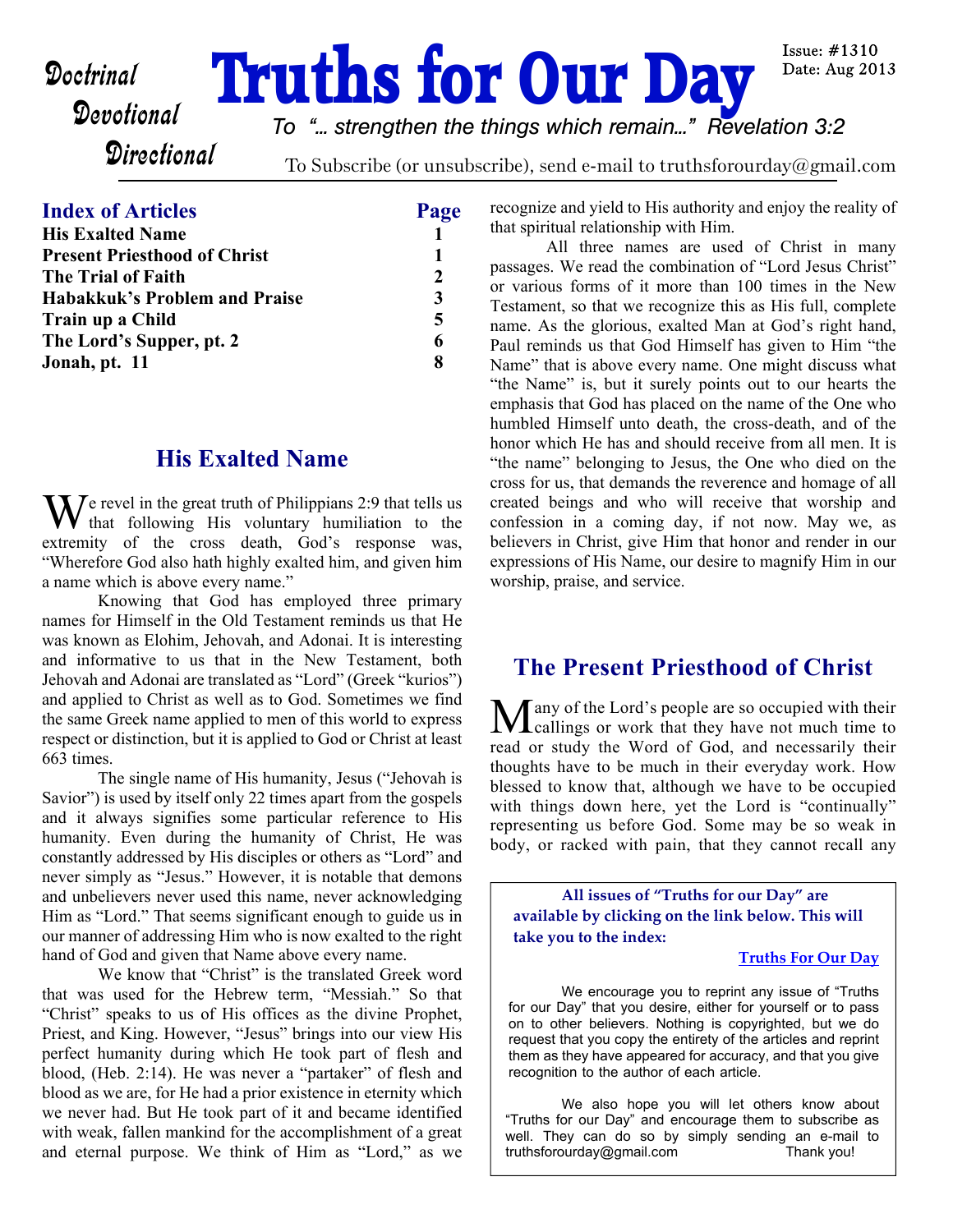# **Doctrinal Truths for Our Day**

Issue: #1310 Date: Aug 2013

## **Directional**

*To "... strengthen the things which remain..." Revelation 3:2*

To Subscribe (or unsubscribe), send e-mail to truthsforourday@gmail.com

#### **Index of Articles Page**

| <b>His Exalted Name</b>             |   |
|-------------------------------------|---|
| <b>Present Priesthood of Christ</b> |   |
| <b>The Trial of Faith</b>           |   |
| Habakkuk's Problem and Praise       | 3 |
| Train up a Child                    | 5 |
| The Lord's Supper, pt. 2            | 6 |
| Jonah, pt. 11                       |   |
|                                     |   |

#### **His Exalted Name**

 $\sum$   $\sum$   $\sum$  revel in the great truth of Philippians 2:9 that tells us that following His voluntary humiliation to the extremity of the cross death, God's response was, "Wherefore God also hath highly exalted him, and given him a name which is above every name."

 Knowing that God has employed three primary names for Himself in the Old Testament reminds us that He was known as Elohim, Jehovah, and Adonai. It is interesting and informative to us that in the New Testament, both Jehovah and Adonai are translated as "Lord" (Greek "kurios") and applied to Christ as well as to God. Sometimes we find the same Greek name applied to men of this world to express respect or distinction, but it is applied to God or Christ at least 663 times.

 The single name of His humanity, Jesus ("Jehovah is Savior") is used by itself only 22 times apart from the gospels and it always signifies some particular reference to His humanity. Even during the humanity of Christ, He was constantly addressed by His disciples or others as "Lord" and never simply as "Jesus." However, it is notable that demons and unbelievers never used this name, never acknowledging Him as "Lord." That seems significant enough to guide us in our manner of addressing Him who is now exalted to the right hand of God and given that Name above every name.

We know that "Christ" is the translated Greek word that was used for the Hebrew term, "Messiah." So that "Christ" speaks to us of His offices as the divine Prophet, Priest, and King. However, "Jesus" brings into our view His perfect humanity during which He took part of flesh and blood, (Heb. 2:14). He was never a "partaker" of flesh and blood as we are, for He had a prior existence in eternity which we never had. But He took part of it and became identified with weak, fallen mankind for the accomplishment of a great and eternal purpose. We think of Him as "Lord," as we recognize and yield to His authority and enjoy the reality of that spiritual relationship with Him.

 All three names are used of Christ in many passages. We read the combination of "Lord Jesus Christ" or various forms of it more than 100 times in the New Testament, so that we recognize this as His full, complete name. As the glorious, exalted Man at God's right hand, Paul reminds us that God Himself has given to Him "the Name" that is above every name. One might discuss what "the Name" is, but it surely points out to our hearts the emphasis that God has placed on the name of the One who humbled Himself unto death, the cross-death, and of the honor which He has and should receive from all men. It is "the name" belonging to Jesus, the One who died on the cross for us, that demands the reverence and homage of all created beings and who will receive that worship and confession in a coming day, if not now. May we, as believers in Christ, give Him that honor and render in our expressions of His Name, our desire to magnify Him in our worship, praise, and service.

### **The Present Priesthood of Christ**

Many of the Lord's people are so occupied with their<br>callings or work that they have not much time to read or study the Word of God, and necessarily their thoughts have to be much in their everyday work. How blessed to know that, although we have to be occupied with things down here, yet the Lord is "continually" representing us before God. Some may be so weak in body, or racked with pain, that they cannot recall any

**All issues of "Truths for our Day" are available by clicking on the link below. This will take you to the index:**

#### **[Truths For Our Day](http://truthsforourday.com)**

 We encourage you to reprint any issue of "Truths for our Day" that you desire, either for yourself or to pass on to other believers. Nothing is copyrighted, but we do request that you copy the entirety of the articles and reprint them as they have appeared for accuracy, and that you give recognition to the author of each article.

 We also hope you will let others know about "Truths for our Day" and encourage them to subscribe as well. They can do so by simply sending an e-mail to truthsforourday@gmail.com Thank you!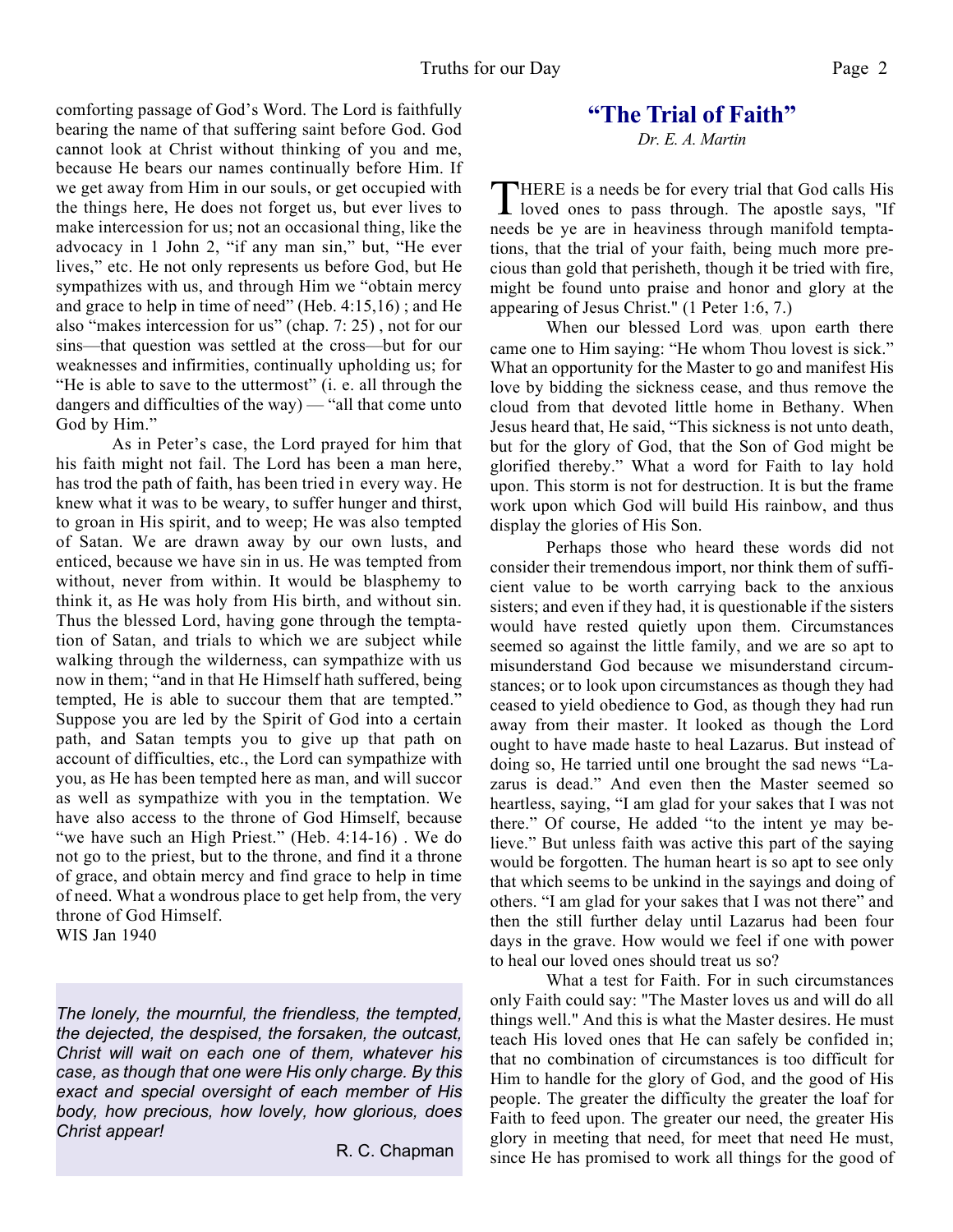comforting passage of God's Word. The Lord is faithfully bearing the name of that suffering saint before God. God cannot look at Christ without thinking of you and me, because He bears our names continually before Him. If we get away from Him in our souls, or get occupied with the things here, He does not forget us, but ever lives to make intercession for us; not an occasional thing, like the advocacy in 1 John 2, "if any man sin," but, "He ever lives," etc. He not only represents us before God, but He sympathizes with us, and through Him we "obtain mercy and grace to help in time of need" (Heb. 4:15,16) ; and He also "makes intercession for us" (chap. 7: 25) , not for our sins—that question was settled at the cross—but for our weaknesses and infirmities, continually upholding us; for "He is able to save to the uttermost" (i. e. all through the dangers and difficulties of the way) — "all that come unto God by Him."

 As in Peter's case, the Lord prayed for him that his faith might not fail. The Lord has been a man here, has trod the path of faith, has been tried in every way. He knew what it was to be weary, to suffer hunger and thirst, to groan in His spirit, and to weep; He was also tempted of Satan. We are drawn away by our own lusts, and enticed, because we have sin in us. He was tempted from without, never from within. It would be blasphemy to think it, as He was holy from His birth, and without sin. Thus the blessed Lord, having gone through the temptation of Satan, and trials to which we are subject while walking through the wilderness, can sympathize with us now in them; "and in that He Himself hath suffered, being tempted, He is able to succour them that are tempted." Suppose you are led by the Spirit of God into a certain path, and Satan tempts you to give up that path on account of difficulties, etc., the Lord can sympathize with you, as He has been tempted here as man, and will succor as well as sympathize with you in the temptation. We have also access to the throne of God Himself, because "we have such an High Priest." (Heb. 4:14-16). We do not go to the priest, but to the throne, and find it a throne of grace, and obtain mercy and find grace to help in time of need. What a wondrous place to get help from, the very throne of God Himself. WIS Jan 1940

*The lonely, the mournful, the friendless, the tempted, the dejected, the despised, the forsaken, the outcast, Christ will wait on each one of them, whatever his case, as though that one were His only charge. By this exact and special oversight of each member of His body, how precious, how lovely, how glorious, does Christ appear!*

R. C. Chapman

# **"The Trial of Faith"**

*Dr. E. A. Martin*

THERE is a needs be for every trial that God calls His<br>loved ones to pass through. The apostle says, "If  $\blacksquare$  loved ones to pass through. The apostle says, "If needs be ye are in heaviness through manifold temptations, that the trial of your faith, being much more precious than gold that perisheth, though it be tried with fire, might be found unto praise and honor and glory at the appearing of Jesus Christ." (1 Peter 1:6, 7.)

When our blessed Lord was upon earth there came one to Him saying: "He whom Thou lovest is sick." What an opportunity for the Master to go and manifest His love by bidding the sickness cease, and thus remove the cloud from that devoted little home in Bethany. When Jesus heard that, He said, "This sickness is not unto death, but for the glory of God, that the Son of God might be glorified thereby." What a word for Faith to lay hold upon. This storm is not for destruction. It is but the frame work upon which God will build His rainbow, and thus display the glories of His Son.

 Perhaps those who heard these words did not consider their tremendous import, nor think them of sufficient value to be worth carrying back to the anxious sisters; and even if they had, it is questionable if the sisters would have rested quietly upon them. Circumstances seemed so against the little family, and we are so apt to misunderstand God because we misunderstand circumstances; or to look upon circumstances as though they had ceased to yield obedience to God, as though they had run away from their master. It looked as though the Lord ought to have made haste to heal Lazarus. But instead of doing so, He tarried until one brought the sad news "Lazarus is dead." And even then the Master seemed so heartless, saying, "I am glad for your sakes that I was not there." Of course, He added "to the intent ye may believe." But unless faith was active this part of the saying would be forgotten. The human heart is so apt to see only that which seems to be unkind in the sayings and doing of others. "I am glad for your sakes that I was not there" and then the still further delay until Lazarus had been four days in the grave. How would we feel if one with power to heal our loved ones should treat us so?

What a test for Faith. For in such circumstances only Faith could say: "The Master loves us and will do all things well." And this is what the Master desires. He must teach His loved ones that He can safely be confided in; that no combination of circumstances is too difficult for Him to handle for the glory of God, and the good of His people. The greater the difficulty the greater the loaf for Faith to feed upon. The greater our need, the greater His glory in meeting that need, for meet that need He must, since He has promised to work all things for the good of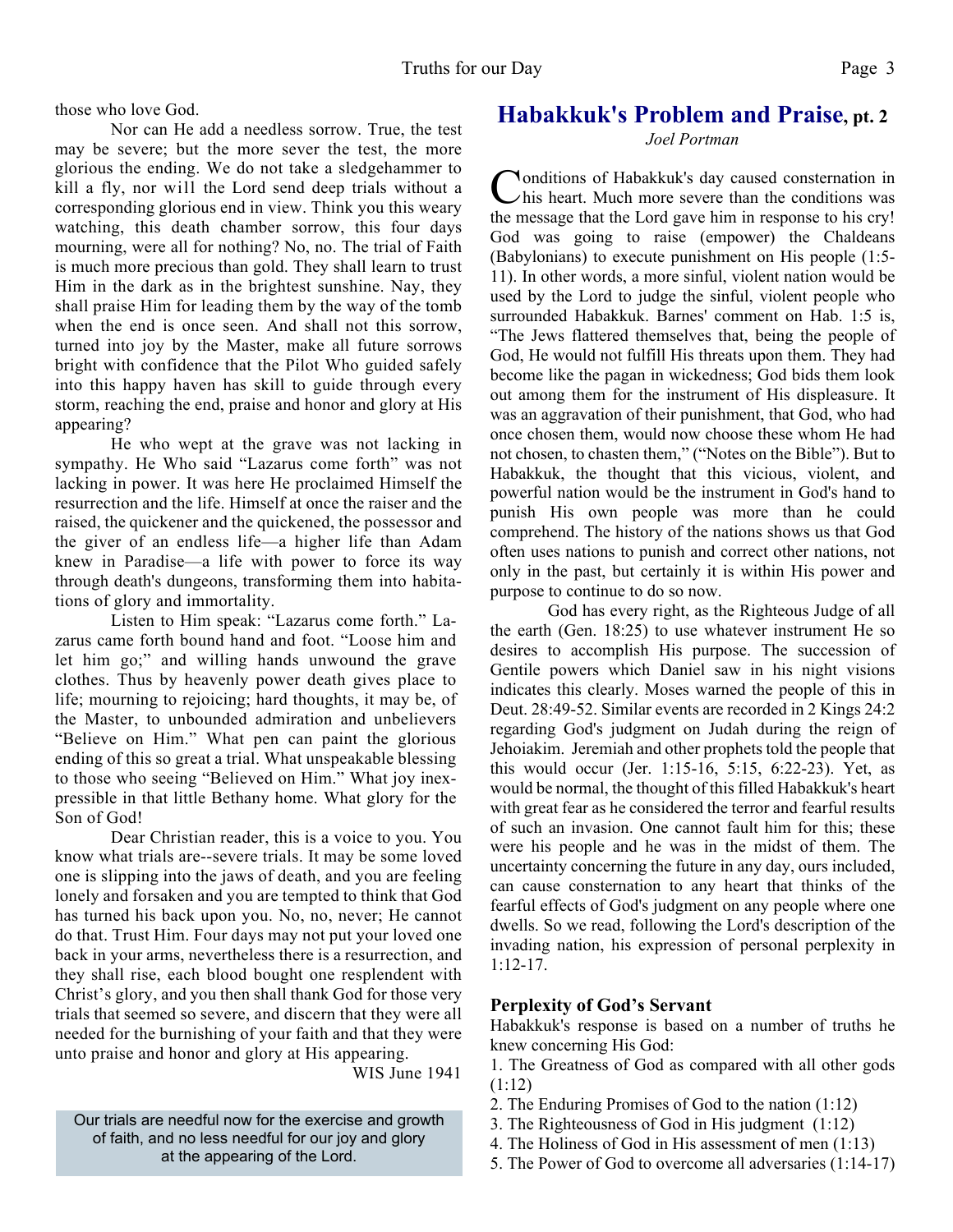those who love God.

 Nor can He add a needless sorrow. True, the test may be severe; but the more sever the test, the more glorious the ending. We do not take a sledgehammer to kill a fly, nor will the Lord send deep trials without a corresponding glorious end in view. Think you this weary watching, this death chamber sorrow, this four days mourning, were all for nothing? No, no. The trial of Faith is much more precious than gold. They shall learn to trust Him in the dark as in the brightest sunshine. Nay, they shall praise Him for leading them by the way of the tomb when the end is once seen. And shall not this sorrow, turned into joy by the Master, make all future sorrows bright with confidence that the Pilot Who guided safely into this happy haven has skill to guide through every storm, reaching the end, praise and honor and glory at His appearing?

 He who wept at the grave was not lacking in sympathy. He Who said "Lazarus come forth" was not lacking in power. It was here He proclaimed Himself the resurrection and the life. Himself at once the raiser and the raised, the quickener and the quickened, the possessor and the giver of an endless life—a higher life than Adam knew in Paradise—a life with power to force its way through death's dungeons, transforming them into habitations of glory and immortality.

 Listen to Him speak: "Lazarus come forth." Lazarus came forth bound hand and foot. "Loose him and let him go;" and willing hands unwound the grave clothes. Thus by heavenly power death gives place to life; mourning to rejoicing; hard thoughts, it may be, of the Master, to unbounded admiration and unbelievers "Believe on Him." What pen can paint the glorious ending of this so great a trial. What unspeakable blessing to those who seeing "Believed on Him." What joy inexpressible in that little Bethany home. What glory for the Son of God!

 Dear Christian reader, this is a voice to you. You know what trials are--severe trials. It may be some loved one is slipping into the jaws of death, and you are feeling lonely and forsaken and you are tempted to think that God has turned his back upon you. No, no, never; He cannot do that. Trust Him. Four days may not put your loved one back in your arms, nevertheless there is a resurrection, and they shall rise, each blood bought one resplendent with Christ's glory, and you then shall thank God for those very trials that seemed so severe, and discern that they were all needed for the burnishing of your faith and that they were unto praise and honor and glory at His appearing.

WIS June 1941

Our trials are needful now for the exercise and growth of faith, and no less needful for our joy and glory at the appearing of the Lord.

#### **Habakkuk's Problem and Praise, pt. 2**

*Joel Portman*

Conditions of Habakkuk's day caused consternation in this heart. Much more severe than the conditions was the message that the Lord gave him in response to his cry! onditions of Habakkuk's day caused consternation in  $\nu$ his heart. Much more severe than the conditions was God was going to raise (empower) the Chaldeans (Babylonians) to execute punishment on His people (1:5- 11). In other words, a more sinful, violent nation would be used by the Lord to judge the sinful, violent people who surrounded Habakkuk. Barnes' comment on Hab. 1:5 is, "The Jews flattered themselves that, being the people of God, He would not fulfill His threats upon them. They had become like the pagan in wickedness; God bids them look out among them for the instrument of His displeasure. It was an aggravation of their punishment, that God, who had once chosen them, would now choose these whom He had not chosen, to chasten them," ("Notes on the Bible"). But to Habakkuk, the thought that this vicious, violent, and powerful nation would be the instrument in God's hand to punish His own people was more than he could comprehend. The history of the nations shows us that God often uses nations to punish and correct other nations, not only in the past, but certainly it is within His power and purpose to continue to do so now.

 God has every right, as the Righteous Judge of all the earth (Gen. 18:25) to use whatever instrument He so desires to accomplish His purpose. The succession of Gentile powers which Daniel saw in his night visions indicates this clearly. Moses warned the people of this in Deut. 28:49-52. Similar events are recorded in 2 Kings 24:2 regarding God's judgment on Judah during the reign of Jehoiakim. Jeremiah and other prophets told the people that this would occur (Jer. 1:15-16, 5:15, 6:22-23). Yet, as would be normal, the thought of this filled Habakkuk's heart with great fear as he considered the terror and fearful results of such an invasion. One cannot fault him for this; these were his people and he was in the midst of them. The uncertainty concerning the future in any day, ours included, can cause consternation to any heart that thinks of the fearful effects of God's judgment on any people where one dwells. So we read, following the Lord's description of the invading nation, his expression of personal perplexity in 1:12-17.

#### **Perplexity of God's Servant**

Habakkuk's response is based on a number of truths he knew concerning His God:

1. The Greatness of God as compared with all other gods (1:12)

- 2. The Enduring Promises of God to the nation (1:12)
- 3. The Righteousness of God in His judgment (1:12)
- 4. The Holiness of God in His assessment of men (1:13)
- 5. The Power of God to overcome all adversaries (1:14-17)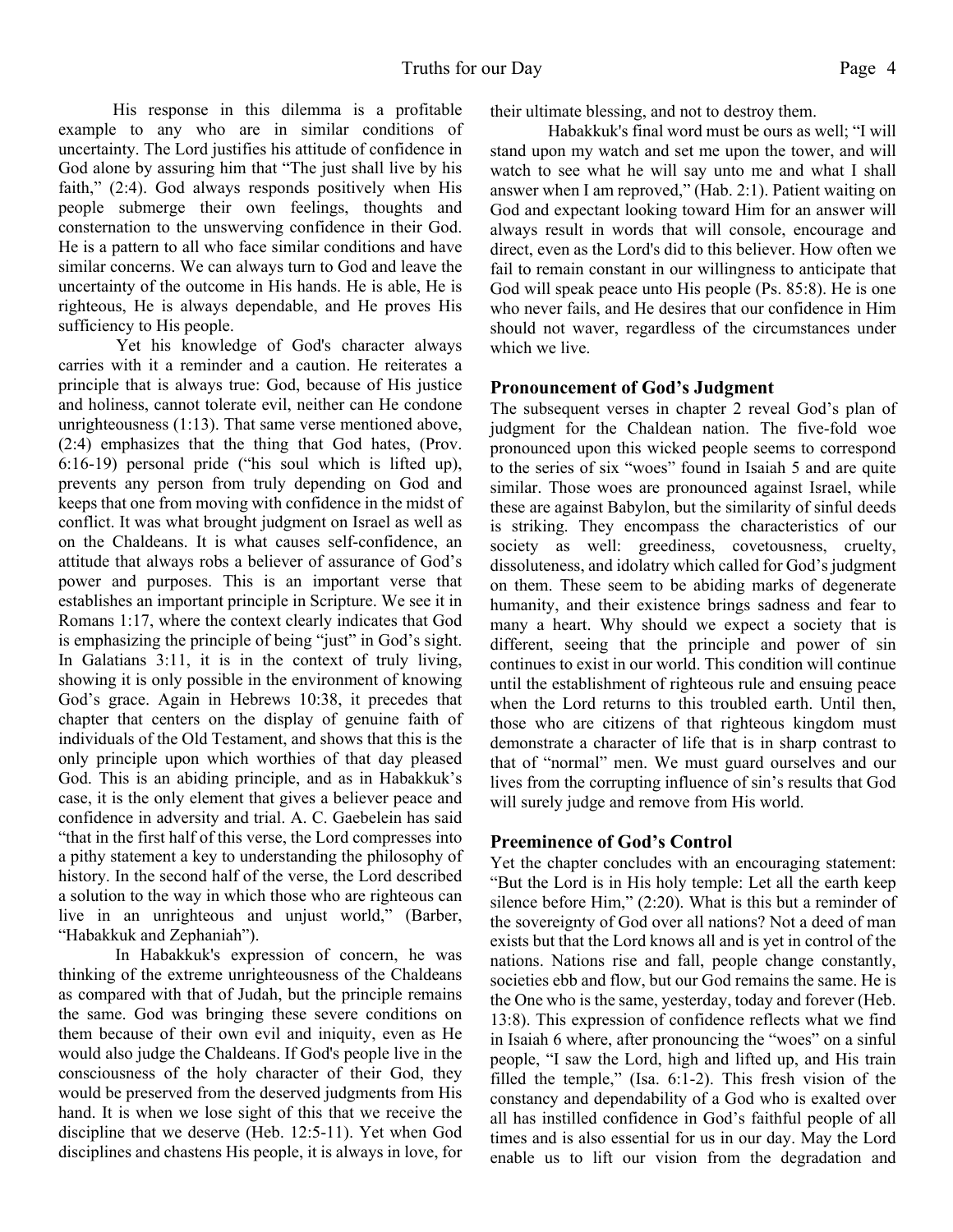His response in this dilemma is a profitable example to any who are in similar conditions of uncertainty. The Lord justifies his attitude of confidence in God alone by assuring him that "The just shall live by his faith," (2:4). God always responds positively when His people submerge their own feelings, thoughts and consternation to the unswerving confidence in their God. He is a pattern to all who face similar conditions and have similar concerns. We can always turn to God and leave the uncertainty of the outcome in His hands. He is able, He is righteous, He is always dependable, and He proves His sufficiency to His people.

 Yet his knowledge of God's character always carries with it a reminder and a caution. He reiterates a principle that is always true: God, because of His justice and holiness, cannot tolerate evil, neither can He condone unrighteousness (1:13). That same verse mentioned above, (2:4) emphasizes that the thing that God hates, (Prov. 6:16-19) personal pride ("his soul which is lifted up), prevents any person from truly depending on God and keeps that one from moving with confidence in the midst of conflict. It was what brought judgment on Israel as well as on the Chaldeans. It is what causes self-confidence, an attitude that always robs a believer of assurance of God's power and purposes. This is an important verse that establishes an important principle in Scripture. We see it in Romans 1:17, where the context clearly indicates that God is emphasizing the principle of being "just" in God's sight. In Galatians 3:11, it is in the context of truly living, showing it is only possible in the environment of knowing God's grace. Again in Hebrews 10:38, it precedes that chapter that centers on the display of genuine faith of individuals of the Old Testament, and shows that this is the only principle upon which worthies of that day pleased God. This is an abiding principle, and as in Habakkuk's case, it is the only element that gives a believer peace and confidence in adversity and trial. A. C. Gaebelein has said "that in the first half of this verse, the Lord compresses into a pithy statement a key to understanding the philosophy of history. In the second half of the verse, the Lord described a solution to the way in which those who are righteous can live in an unrighteous and unjust world," (Barber, "Habakkuk and Zephaniah").

In Habakkuk's expression of concern, he was thinking of the extreme unrighteousness of the Chaldeans as compared with that of Judah, but the principle remains the same. God was bringing these severe conditions on them because of their own evil and iniquity, even as He would also judge the Chaldeans. If God's people live in the consciousness of the holy character of their God, they would be preserved from the deserved judgments from His hand. It is when we lose sight of this that we receive the discipline that we deserve (Heb. 12:5-11). Yet when God disciplines and chastens His people, it is always in love, for their ultimate blessing, and not to destroy them.

 Habakkuk's final word must be ours as well; "I will stand upon my watch and set me upon the tower, and will watch to see what he will say unto me and what I shall answer when I am reproved," (Hab. 2:1). Patient waiting on God and expectant looking toward Him for an answer will always result in words that will console, encourage and direct, even as the Lord's did to this believer. How often we fail to remain constant in our willingness to anticipate that God will speak peace unto His people (Ps. 85:8). He is one who never fails, and He desires that our confidence in Him should not waver, regardless of the circumstances under which we live.

#### **Pronouncement of God's Judgment**

The subsequent verses in chapter 2 reveal God's plan of judgment for the Chaldean nation. The five-fold woe pronounced upon this wicked people seems to correspond to the series of six "woes" found in Isaiah 5 and are quite similar. Those woes are pronounced against Israel, while these are against Babylon, but the similarity of sinful deeds is striking. They encompass the characteristics of our society as well: greediness, covetousness, cruelty, dissoluteness, and idolatry which called for God's judgment on them. These seem to be abiding marks of degenerate humanity, and their existence brings sadness and fear to many a heart. Why should we expect a society that is different, seeing that the principle and power of sin continues to exist in our world. This condition will continue until the establishment of righteous rule and ensuing peace when the Lord returns to this troubled earth. Until then, those who are citizens of that righteous kingdom must demonstrate a character of life that is in sharp contrast to that of "normal" men. We must guard ourselves and our lives from the corrupting influence of sin's results that God will surely judge and remove from His world.

#### **Preeminence of God's Control**

Yet the chapter concludes with an encouraging statement: "But the Lord is in His holy temple: Let all the earth keep silence before Him," (2:20). What is this but a reminder of the sovereignty of God over all nations? Not a deed of man exists but that the Lord knows all and is yet in control of the nations. Nations rise and fall, people change constantly, societies ebb and flow, but our God remains the same. He is the One who is the same, yesterday, today and forever (Heb. 13:8). This expression of confidence reflects what we find in Isaiah 6 where, after pronouncing the "woes" on a sinful people, "I saw the Lord, high and lifted up, and His train filled the temple," (Isa. 6:1-2). This fresh vision of the constancy and dependability of a God who is exalted over all has instilled confidence in God's faithful people of all times and is also essential for us in our day. May the Lord enable us to lift our vision from the degradation and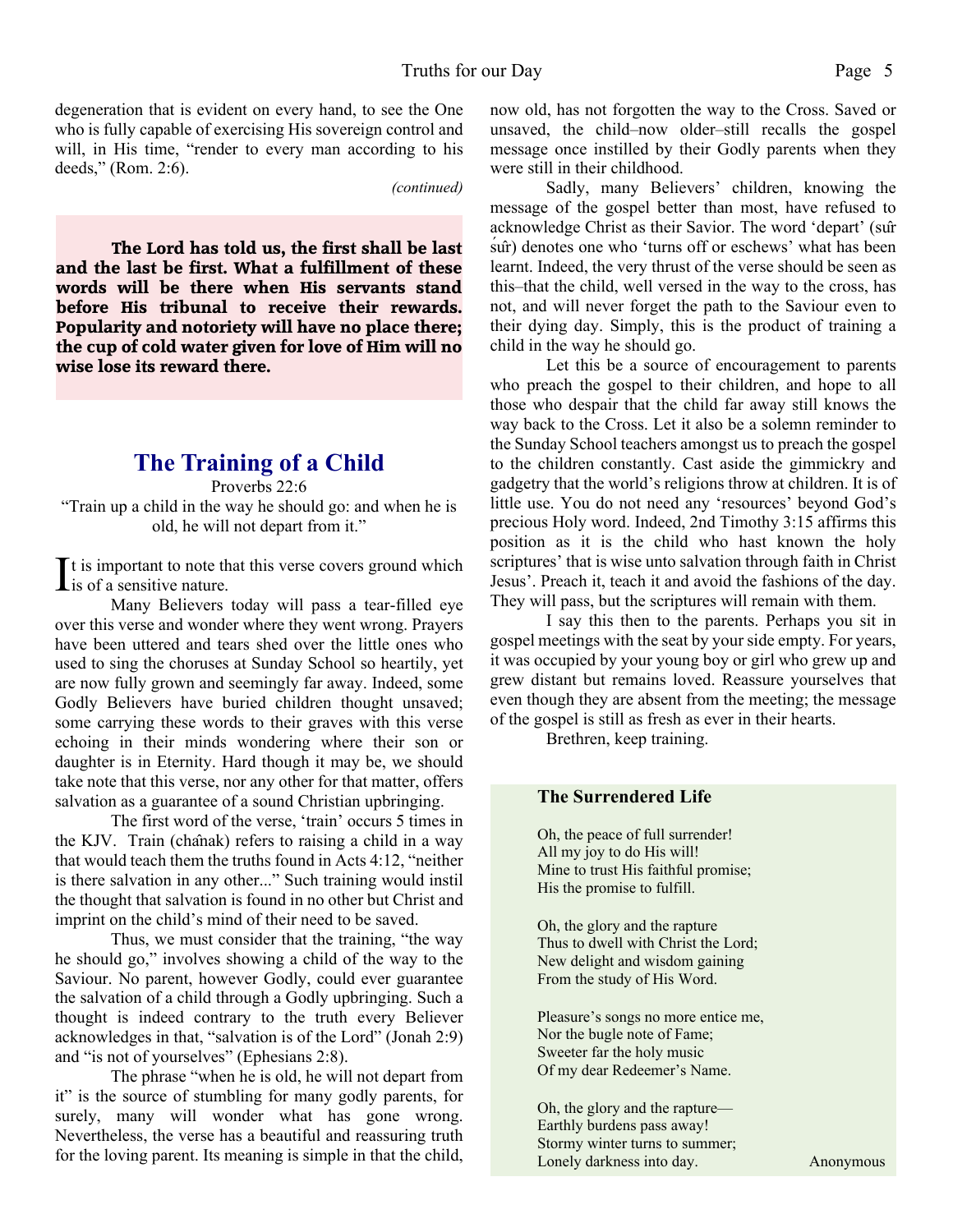degeneration that is evident on every hand, to see the One who is fully capable of exercising His sovereign control and will, in His time, "render to every man according to his

*(continued)*

**The Lord has told us, the first shall be last and the last be first. What a fulfillment of these words will be there when His servants stand before His tribunal to receive their rewards. Popularity and notoriety will have no place there; the cup of cold water given for love of Him will no wise lose its reward there.**

deeds," (Rom. 2:6).

#### **The Training of a Child**

Proverbs 22:6 "Train up a child in the way he should go: and when he is old, he will not depart from it."

 $\prod$ t is important to note that this verse covers ground which<br>
is of a sensitive nature. is of a sensitive nature.

Many Believers today will pass a tear-filled eye over this verse and wonder where they went wrong. Prayers have been uttered and tears shed over the little ones who used to sing the choruses at Sunday School so heartily, yet are now fully grown and seemingly far away. Indeed, some Godly Believers have buried children thought unsaved; some carrying these words to their graves with this verse echoing in their minds wondering where their son or daughter is in Eternity. Hard though it may be, we should take note that this verse, nor any other for that matter, offers salvation as a guarantee of a sound Christian upbringing.

 The first word of the verse, 'train' occurs 5 times in the KJV. Train (chânak) refers to raising a child in a way that would teach them the truths found in Acts 4:12, "neither is there salvation in any other..." Such training would instil the thought that salvation is found in no other but Christ and imprint on the child's mind of their need to be saved.

 Thus, we must consider that the training, "the way he should go," involves showing a child of the way to the Saviour. No parent, however Godly, could ever guarantee the salvation of a child through a Godly upbringing. Such a thought is indeed contrary to the truth every Believer acknowledges in that, "salvation is of the Lord" (Jonah 2:9) and "is not of yourselves" (Ephesians 2:8).

 The phrase "when he is old, he will not depart from it" is the source of stumbling for many godly parents, for surely, many will wonder what has gone wrong. Nevertheless, the verse has a beautiful and reassuring truth for the loving parent. Its meaning is simple in that the child, now old, has not forgotten the way to the Cross. Saved or unsaved, the child–now older–still recalls the gospel message once instilled by their Godly parents when they were still in their childhood.

Sadly, many Believers' children, knowing the message of the gospel better than most, have refused to acknowledge Christ as their Savior. The word 'depart' (sûr śûr) denotes one who 'turns off or eschews' what has been learnt. Indeed, the very thrust of the verse should be seen as this–that the child, well versed in the way to the cross, has not, and will never forget the path to the Saviour even to their dying day. Simply, this is the product of training a child in the way he should go.

Let this be a source of encouragement to parents who preach the gospel to their children, and hope to all those who despair that the child far away still knows the way back to the Cross. Let it also be a solemn reminder to the Sunday School teachers amongst us to preach the gospel to the children constantly. Cast aside the gimmickry and gadgetry that the world's religions throw at children. It is of little use. You do not need any 'resources' beyond God's precious Holy word. Indeed, 2nd Timothy 3:15 affirms this position as it is the child who hast known the holy scriptures' that is wise unto salvation through faith in Christ Jesus'. Preach it, teach it and avoid the fashions of the day. They will pass, but the scriptures will remain with them.

I say this then to the parents. Perhaps you sit in gospel meetings with the seat by your side empty. For years, it was occupied by your young boy or girl who grew up and grew distant but remains loved. Reassure yourselves that even though they are absent from the meeting; the message of the gospel is still as fresh as ever in their hearts.

Brethren, keep training.

#### **The Surrendered Life**

Oh, the peace of full surrender! All my joy to do His will! Mine to trust His faithful promise; His the promise to fulfill.

Oh, the glory and the rapture Thus to dwell with Christ the Lord; New delight and wisdom gaining From the study of His Word.

Pleasure's songs no more entice me, Nor the bugle note of Fame; Sweeter far the holy music Of my dear Redeemer's Name.

Oh, the glory and the rapture— Earthly burdens pass away! Stormy winter turns to summer; Lonely darkness into day. Anonymous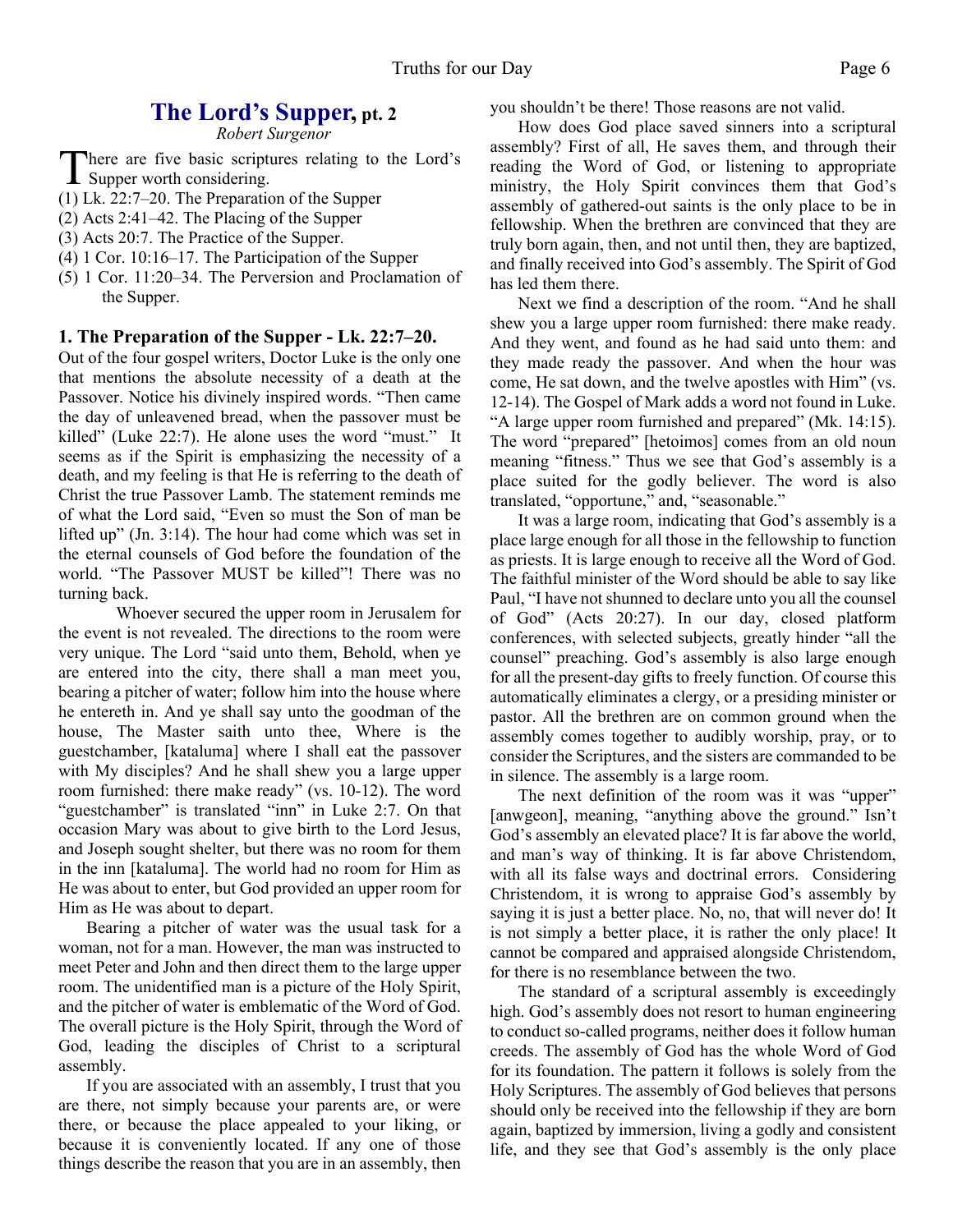#### **The Lord's Supper, pt. 2**

*Robert Surgenor*

There are five basic scriptures relating to the Lord's<br>Supper worth considering. Supper worth considering.

- (1) Lk. 22:7–20. The Preparation of the Supper
- (2) Acts 2:41–42. The Placing of the Supper
- (3) Acts 20:7. The Practice of the Supper.
- (4) 1 Cor. 10:16–17. The Participation of the Supper
- (5) 1 Cor. 11:20–34. The Perversion and Proclamation of the Supper.

#### **1. The Preparation of the Supper - Lk. 22:7–20.**

Out of the four gospel writers, Doctor Luke is the only one that mentions the absolute necessity of a death at the Passover. Notice his divinely inspired words. "Then came the day of unleavened bread, when the passover must be killed" (Luke 22:7). He alone uses the word "must." It seems as if the Spirit is emphasizing the necessity of a death, and my feeling is that He is referring to the death of Christ the true Passover Lamb. The statement reminds me of what the Lord said, "Even so must the Son of man be lifted up" (Jn. 3:14). The hour had come which was set in the eternal counsels of God before the foundation of the world. "The Passover MUST be killed"! There was no turning back.

Whoever secured the upper room in Jerusalem for the event is not revealed. The directions to the room were very unique. The Lord "said unto them, Behold, when ye are entered into the city, there shall a man meet you, bearing a pitcher of water; follow him into the house where he entereth in. And ye shall say unto the goodman of the house, The Master saith unto thee, Where is the guestchamber, [kataluma] where I shall eat the passover with My disciples? And he shall shew you a large upper room furnished: there make ready" (vs. 10-12). The word "guestchamber" is translated "inn" in Luke 2:7. On that occasion Mary was about to give birth to the Lord Jesus, and Joseph sought shelter, but there was no room for them in the inn [kataluma]. The world had no room for Him as He was about to enter, but God provided an upper room for Him as He was about to depart.

Bearing a pitcher of water was the usual task for a woman, not for a man. However, the man was instructed to meet Peter and John and then direct them to the large upper room. The unidentified man is a picture of the Holy Spirit, and the pitcher of water is emblematic of the Word of God. The overall picture is the Holy Spirit, through the Word of God, leading the disciples of Christ to a scriptural assembly.

If you are associated with an assembly, I trust that you are there, not simply because your parents are, or were there, or because the place appealed to your liking, or because it is conveniently located. If any one of those things describe the reason that you are in an assembly, then you shouldn't be there! Those reasons are not valid.

How does God place saved sinners into a scriptural assembly? First of all, He saves them, and through their reading the Word of God, or listening to appropriate ministry, the Holy Spirit convinces them that God's assembly of gathered-out saints is the only place to be in fellowship. When the brethren are convinced that they are truly born again, then, and not until then, they are baptized, and finally received into God's assembly. The Spirit of God has led them there.

Next we find a description of the room. "And he shall shew you a large upper room furnished: there make ready. And they went, and found as he had said unto them: and they made ready the passover. And when the hour was come, He sat down, and the twelve apostles with Him" (vs. 12-14). The Gospel of Mark adds a word not found in Luke. "A large upper room furnished and prepared" (Mk. 14:15). The word "prepared" [hetoimos] comes from an old noun meaning "fitness." Thus we see that God's assembly is a place suited for the godly believer. The word is also translated, "opportune," and, "seasonable."

It was a large room, indicating that God's assembly is a place large enough for all those in the fellowship to function as priests. It is large enough to receive all the Word of God. The faithful minister of the Word should be able to say like Paul, "I have not shunned to declare unto you all the counsel of God" (Acts 20:27). In our day, closed platform conferences, with selected subjects, greatly hinder "all the counsel" preaching. God's assembly is also large enough for all the present-day gifts to freely function. Of course this automatically eliminates a clergy, or a presiding minister or pastor. All the brethren are on common ground when the assembly comes together to audibly worship, pray, or to consider the Scriptures, and the sisters are commanded to be in silence. The assembly is a large room.

The next definition of the room was it was "upper" [anwgeon], meaning, "anything above the ground." Isn't God's assembly an elevated place? It is far above the world, and man's way of thinking. It is far above Christendom, with all its false ways and doctrinal errors. Considering Christendom, it is wrong to appraise God's assembly by saying it is just a better place. No, no, that will never do! It is not simply a better place, it is rather the only place! It cannot be compared and appraised alongside Christendom, for there is no resemblance between the two.

The standard of a scriptural assembly is exceedingly high. God's assembly does not resort to human engineering to conduct so-called programs, neither does it follow human creeds. The assembly of God has the whole Word of God for its foundation. The pattern it follows is solely from the Holy Scriptures. The assembly of God believes that persons should only be received into the fellowship if they are born again, baptized by immersion, living a godly and consistent life, and they see that God's assembly is the only place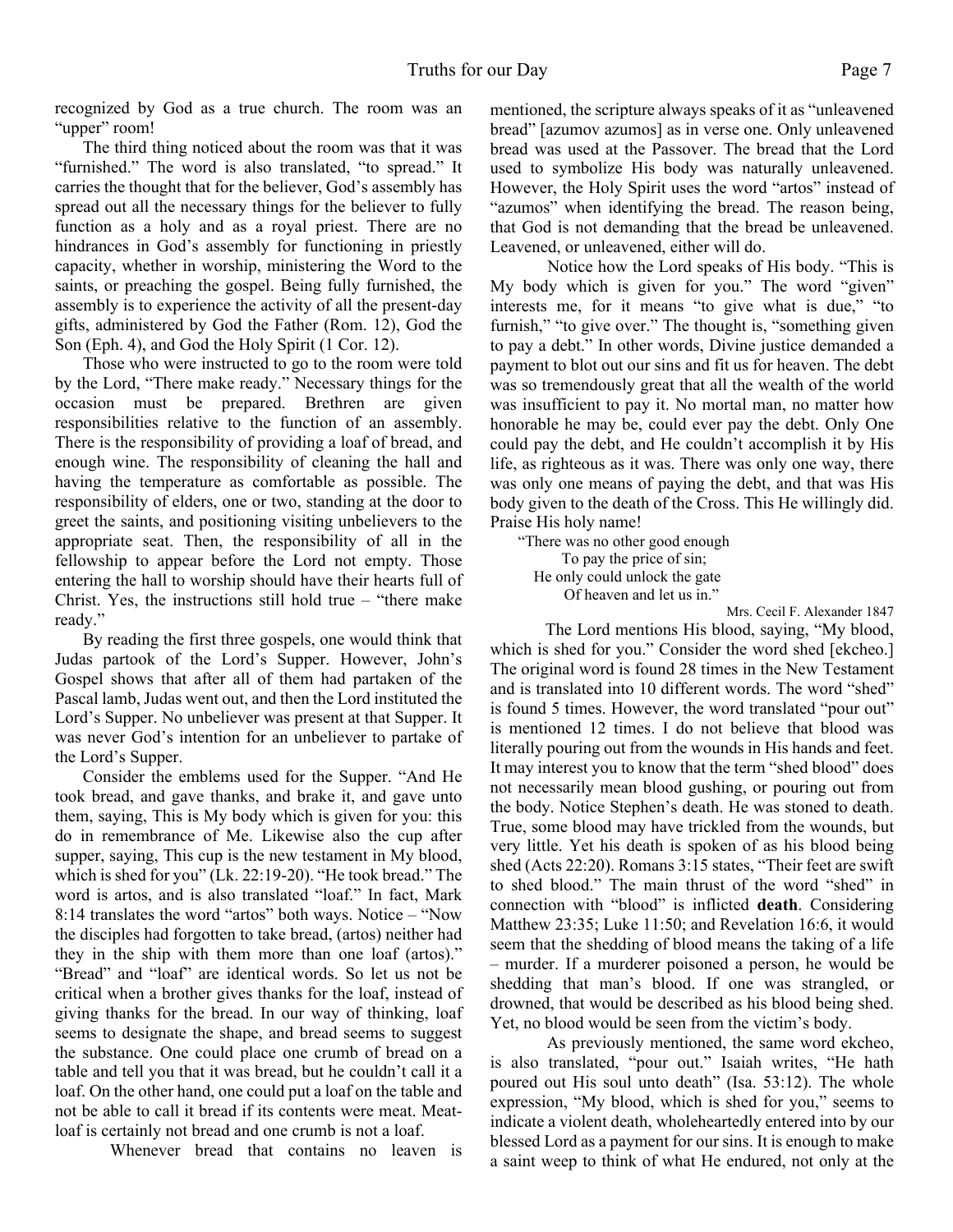recognized by God as a true church. The room was an "upper" room!

The third thing noticed about the room was that it was "furnished." The word is also translated, "to spread." It carries the thought that for the believer, God's assembly has spread out all the necessary things for the believer to fully function as a holy and as a royal priest. There are no hindrances in God's assembly for functioning in priestly capacity, whether in worship, ministering the Word to the saints, or preaching the gospel. Being fully furnished, the assembly is to experience the activity of all the present-day gifts, administered by God the Father (Rom. 12), God the Son (Eph. 4), and God the Holy Spirit (1 Cor. 12).

Those who were instructed to go to the room were told by the Lord, "There make ready." Necessary things for the occasion must be prepared. Brethren are given responsibilities relative to the function of an assembly. There is the responsibility of providing a loaf of bread, and enough wine. The responsibility of cleaning the hall and having the temperature as comfortable as possible. The responsibility of elders, one or two, standing at the door to greet the saints, and positioning visiting unbelievers to the appropriate seat. Then, the responsibility of all in the fellowship to appear before the Lord not empty. Those entering the hall to worship should have their hearts full of Christ. Yes, the instructions still hold true – "there make ready."

By reading the first three gospels, one would think that Judas partook of the Lord's Supper. However, John's Gospel shows that after all of them had partaken of the Pascal lamb, Judas went out, and then the Lord instituted the Lord's Supper. No unbeliever was present at that Supper. It was never God's intention for an unbeliever to partake of the Lord's Supper.

Consider the emblems used for the Supper. "And He took bread, and gave thanks, and brake it, and gave unto them, saying, This is My body which is given for you: this do in remembrance of Me. Likewise also the cup after supper, saying, This cup is the new testament in My blood, which is shed for you" (Lk. 22:19-20). "He took bread." The word is artos, and is also translated "loaf." In fact, Mark 8:14 translates the word "artos" both ways. Notice – "Now the disciples had forgotten to take bread, (artos) neither had they in the ship with them more than one loaf (artos)." "Bread" and "loaf" are identical words. So let us not be critical when a brother gives thanks for the loaf, instead of giving thanks for the bread. In our way of thinking, loaf seems to designate the shape, and bread seems to suggest the substance. One could place one crumb of bread on a table and tell you that it was bread, but he couldn't call it a loaf. On the other hand, one could put a loaf on the table and not be able to call it bread if its contents were meat. Meatloaf is certainly not bread and one crumb is not a loaf.

Whenever bread that contains no leaven is

mentioned, the scripture always speaks of it as "unleavened bread" [azumov azumos] as in verse one. Only unleavened bread was used at the Passover. The bread that the Lord used to symbolize His body was naturally unleavened. However, the Holy Spirit uses the word "artos" instead of "azumos" when identifying the bread. The reason being, that God is not demanding that the bread be unleavened. Leavened, or unleavened, either will do.

Notice how the Lord speaks of His body. "This is My body which is given for you." The word "given" interests me, for it means "to give what is due," "to furnish," "to give over." The thought is, "something given to pay a debt." In other words, Divine justice demanded a payment to blot out our sins and fit us for heaven. The debt was so tremendously great that all the wealth of the world was insufficient to pay it. No mortal man, no matter how honorable he may be, could ever pay the debt. Only One could pay the debt, and He couldn't accomplish it by His life, as righteous as it was. There was only one way, there was only one means of paying the debt, and that was His body given to the death of the Cross. This He willingly did. Praise His holy name!

"There was no other good enough To pay the price of sin; He only could unlock the gate Of heaven and let us in."

Mrs. Cecil F. Alexander 1847

The Lord mentions His blood, saying, "My blood, which is shed for you." Consider the word shed [ekcheo.] The original word is found 28 times in the New Testament and is translated into 10 different words. The word "shed" is found 5 times. However, the word translated "pour out" is mentioned 12 times. I do not believe that blood was literally pouring out from the wounds in His hands and feet. It may interest you to know that the term "shed blood" does not necessarily mean blood gushing, or pouring out from the body. Notice Stephen's death. He was stoned to death. True, some blood may have trickled from the wounds, but very little. Yet his death is spoken of as his blood being shed (Acts 22:20). Romans 3:15 states, "Their feet are swift to shed blood." The main thrust of the word "shed" in connection with "blood" is inflicted **death**. Considering Matthew 23:35; Luke 11:50; and Revelation 16:6, it would seem that the shedding of blood means the taking of a life – murder. If a murderer poisoned a person, he would be shedding that man's blood. If one was strangled, or drowned, that would be described as his blood being shed. Yet, no blood would be seen from the victim's body.

As previously mentioned, the same word ekcheo, is also translated, "pour out." Isaiah writes, "He hath poured out His soul unto death" (Isa. 53:12). The whole expression, "My blood, which is shed for you," seems to indicate a violent death, wholeheartedly entered into by our blessed Lord as a payment for our sins. It is enough to make a saint weep to think of what He endured, not only at the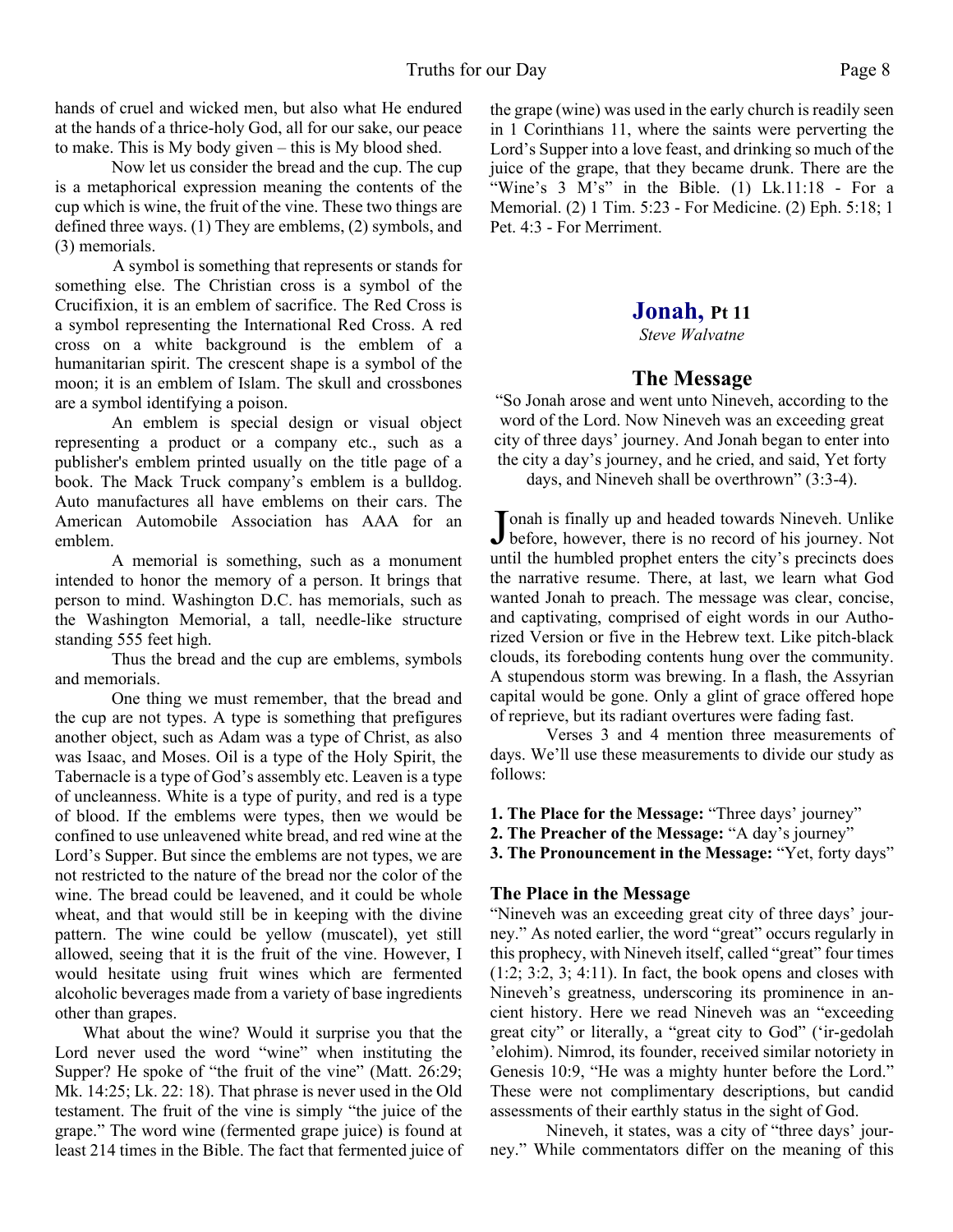hands of cruel and wicked men, but also what He endured at the hands of a thrice-holy God, all for our sake, our peace to make. This is My body given – this is My blood shed.

Now let us consider the bread and the cup. The cup is a metaphorical expression meaning the contents of the cup which is wine, the fruit of the vine. These two things are defined three ways. (1) They are emblems, (2) symbols, and (3) memorials.

A symbol is something that represents or stands for something else. The Christian cross is a symbol of the Crucifixion, it is an emblem of sacrifice. The Red Cross is a symbol representing the International Red Cross. A red cross on a white background is the emblem of a humanitarian spirit. The crescent shape is a symbol of the moon; it is an emblem of Islam. The skull and crossbones are a symbol identifying a poison.

An emblem is special design or visual object representing a product or a company etc., such as a publisher's emblem printed usually on the title page of a book. The Mack Truck company's emblem is a bulldog. Auto manufactures all have emblems on their cars. The American Automobile Association has AAA for an emblem.

A memorial is something, such as a monument intended to honor the memory of a person. It brings that person to mind. Washington D.C. has memorials, such as the Washington Memorial, a tall, needle-like structure standing 555 feet high.

Thus the bread and the cup are emblems, symbols and memorials.

One thing we must remember, that the bread and the cup are not types. A type is something that prefigures another object, such as Adam was a type of Christ, as also was Isaac, and Moses. Oil is a type of the Holy Spirit, the Tabernacle is a type of God's assembly etc. Leaven is a type of uncleanness. White is a type of purity, and red is a type of blood. If the emblems were types, then we would be confined to use unleavened white bread, and red wine at the Lord's Supper. But since the emblems are not types, we are not restricted to the nature of the bread nor the color of the wine. The bread could be leavened, and it could be whole wheat, and that would still be in keeping with the divine pattern. The wine could be yellow (muscatel), yet still allowed, seeing that it is the fruit of the vine. However, I would hesitate using fruit wines which are fermented alcoholic beverages made from a variety of base ingredients other than grapes.

What about the wine? Would it surprise you that the Lord never used the word "wine" when instituting the Supper? He spoke of "the fruit of the vine" (Matt. 26:29; Mk. 14:25; Lk. 22: 18). That phrase is never used in the Old testament. The fruit of the vine is simply "the juice of the grape." The word wine (fermented grape juice) is found at least 214 times in the Bible. The fact that fermented juice of the grape (wine) was used in the early church is readily seen in 1 Corinthians 11, where the saints were perverting the Lord's Supper into a love feast, and drinking so much of the juice of the grape, that they became drunk. There are the "Wine's  $3$  M's" in the Bible. (1) Lk.11:18 - For a Memorial. (2) 1 Tim. 5:23 - For Medicine. (2) Eph. 5:18; 1 Pet. 4:3 - For Merriment.

#### **Jonah, Pt 11**

*Steve Walvatne*

#### **The Message**

"So Jonah arose and went unto Nineveh, according to the word of the Lord. Now Nineveh was an exceeding great city of three days' journey. And Jonah began to enter into the city a day's journey, and he cried, and said, Yet forty

days, and Nineveh shall be overthrown" (3:3-4).

Jonah is finally up and headed towards Nineveh. Unlike<br>before, however, there is no record of his journey. Not Tonah is finally up and headed towards Nineveh. Unlike until the humbled prophet enters the city's precincts does the narrative resume. There, at last, we learn what God wanted Jonah to preach. The message was clear, concise, and captivating, comprised of eight words in our Authorized Version or five in the Hebrew text. Like pitch-black clouds, its foreboding contents hung over the community. A stupendous storm was brewing. In a flash, the Assyrian capital would be gone. Only a glint of grace offered hope of reprieve, but its radiant overtures were fading fast.

 Verses 3 and 4 mention three measurements of days. We'll use these measurements to divide our study as follows:

**1. The Place for the Message:** "Three days' journey"

**2. The Preacher of the Message:** "A day's journey"

**3. The Pronouncement in the Message:** "Yet, forty days"

#### **The Place in the Message**

"Nineveh was an exceeding great city of three days' journey." As noted earlier, the word "great" occurs regularly in this prophecy, with Nineveh itself, called "great" four times  $(1:2; 3:2, 3; 4:11)$ . In fact, the book opens and closes with Nineveh's greatness, underscoring its prominence in ancient history. Here we read Nineveh was an "exceeding great city" or literally, a "great city to God" ('ir-gedolah 'elohim). Nimrod, its founder, received similar notoriety in Genesis 10:9, "He was a mighty hunter before the Lord." These were not complimentary descriptions, but candid assessments of their earthly status in the sight of God.

 Nineveh, it states, was a city of "three days' journey." While commentators differ on the meaning of this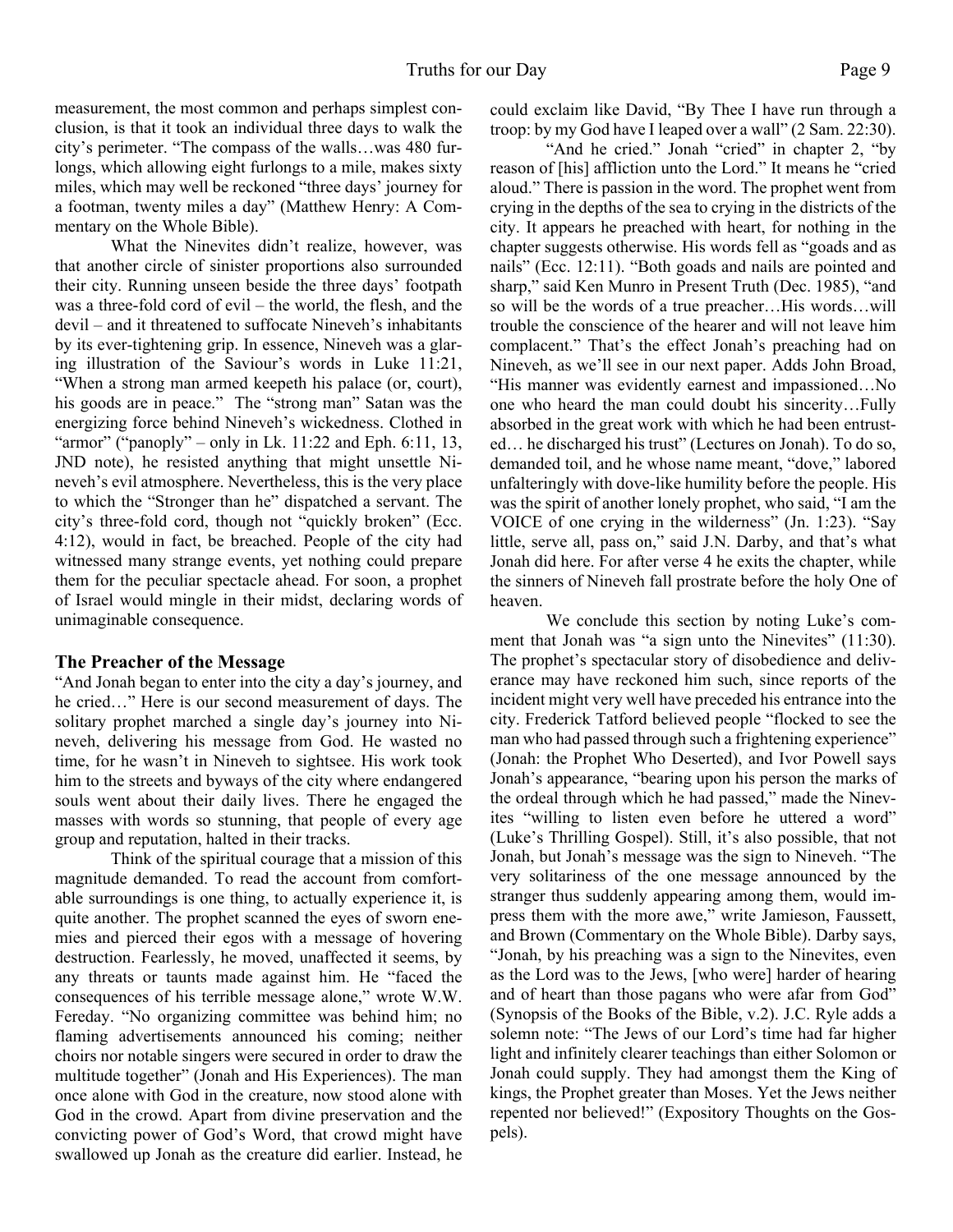measurement, the most common and perhaps simplest conclusion, is that it took an individual three days to walk the city's perimeter. "The compass of the walls…was 480 furlongs, which allowing eight furlongs to a mile, makes sixty miles, which may well be reckoned "three days' journey for a footman, twenty miles a day" (Matthew Henry: A Commentary on the Whole Bible).

 What the Ninevites didn't realize, however, was that another circle of sinister proportions also surrounded their city. Running unseen beside the three days' footpath was a three-fold cord of evil – the world, the flesh, and the devil – and it threatened to suffocate Nineveh's inhabitants by its ever-tightening grip. In essence, Nineveh was a glaring illustration of the Saviour's words in Luke 11:21, "When a strong man armed keepeth his palace (or, court), his goods are in peace." The "strong man" Satan was the energizing force behind Nineveh's wickedness. Clothed in "armor" ("panoply" – only in Lk.  $11:22$  and Eph. 6:11, 13, JND note), he resisted anything that might unsettle Nineveh's evil atmosphere. Nevertheless, this is the very place to which the "Stronger than he" dispatched a servant. The city's three-fold cord, though not "quickly broken" (Ecc. 4:12), would in fact, be breached. People of the city had witnessed many strange events, yet nothing could prepare them for the peculiar spectacle ahead. For soon, a prophet of Israel would mingle in their midst, declaring words of unimaginable consequence.

#### **The Preacher of the Message**

"And Jonah began to enter into the city a day's journey, and he cried…" Here is our second measurement of days. The solitary prophet marched a single day's journey into Nineveh, delivering his message from God. He wasted no time, for he wasn't in Nineveh to sightsee. His work took him to the streets and byways of the city where endangered souls went about their daily lives. There he engaged the masses with words so stunning, that people of every age group and reputation, halted in their tracks.

 Think of the spiritual courage that a mission of this magnitude demanded. To read the account from comfortable surroundings is one thing, to actually experience it, is quite another. The prophet scanned the eyes of sworn enemies and pierced their egos with a message of hovering destruction. Fearlessly, he moved, unaffected it seems, by any threats or taunts made against him. He "faced the consequences of his terrible message alone," wrote W.W. Fereday. "No organizing committee was behind him; no flaming advertisements announced his coming; neither choirs nor notable singers were secured in order to draw the multitude together" (Jonah and His Experiences). The man once alone with God in the creature, now stood alone with God in the crowd. Apart from divine preservation and the convicting power of God's Word, that crowd might have swallowed up Jonah as the creature did earlier. Instead, he

could exclaim like David, "By Thee I have run through a troop: by my God have I leaped over a wall" (2 Sam. 22:30).

"And he cried." Jonah "cried" in chapter 2, "by reason of [his] affliction unto the Lord." It means he "cried aloud." There is passion in the word. The prophet went from crying in the depths of the sea to crying in the districts of the city. It appears he preached with heart, for nothing in the chapter suggests otherwise. His words fell as "goads and as nails" (Ecc. 12:11). "Both goads and nails are pointed and sharp," said Ken Munro in Present Truth (Dec. 1985), "and so will be the words of a true preacher…His words…will trouble the conscience of the hearer and will not leave him complacent." That's the effect Jonah's preaching had on Nineveh, as we'll see in our next paper. Adds John Broad, "His manner was evidently earnest and impassioned…No one who heard the man could doubt his sincerity…Fully absorbed in the great work with which he had been entrusted… he discharged his trust" (Lectures on Jonah). To do so, demanded toil, and he whose name meant, "dove," labored unfalteringly with dove-like humility before the people. His was the spirit of another lonely prophet, who said, "I am the VOICE of one crying in the wilderness" (Jn. 1:23). "Say little, serve all, pass on," said J.N. Darby, and that's what Jonah did here. For after verse 4 he exits the chapter, while the sinners of Nineveh fall prostrate before the holy One of heaven.

 We conclude this section by noting Luke's comment that Jonah was "a sign unto the Ninevites" (11:30). The prophet's spectacular story of disobedience and deliverance may have reckoned him such, since reports of the incident might very well have preceded his entrance into the city. Frederick Tatford believed people "flocked to see the man who had passed through such a frightening experience" (Jonah: the Prophet Who Deserted), and Ivor Powell says Jonah's appearance, "bearing upon his person the marks of the ordeal through which he had passed," made the Ninevites "willing to listen even before he uttered a word" (Luke's Thrilling Gospel). Still, it's also possible, that not Jonah, but Jonah's message was the sign to Nineveh. "The very solitariness of the one message announced by the stranger thus suddenly appearing among them, would impress them with the more awe," write Jamieson, Faussett, and Brown (Commentary on the Whole Bible). Darby says, "Jonah, by his preaching was a sign to the Ninevites, even as the Lord was to the Jews, [who were] harder of hearing and of heart than those pagans who were afar from God" (Synopsis of the Books of the Bible, v.2). J.C. Ryle adds a solemn note: "The Jews of our Lord's time had far higher light and infinitely clearer teachings than either Solomon or Jonah could supply. They had amongst them the King of kings, the Prophet greater than Moses. Yet the Jews neither repented nor believed!" (Expository Thoughts on the Gospels).